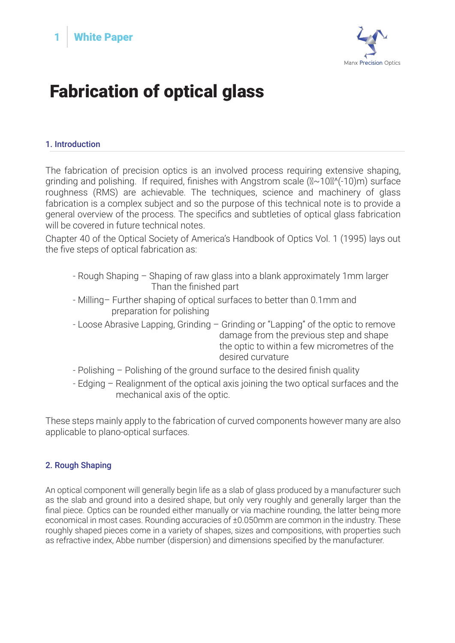



# Fabrication of optical glass

### 1. Introduction

The fabrication of precision optics is an involved process requiring extensive shaping, grinding and polishing. If required, finishes with Angstrom scale  $(\mathbb{N} \sim 10\mathbb{N}^{\prime}(-10)m)$  surface roughness (RMS) are achievable. The techniques, science and machinery of glass fabrication is a complex subject and so the purpose of this technical note is to provide a general overview of the process. The specifics and subtleties of optical glass fabrication will be covered in future technical notes.

Chapter 40 of the Optical Society of America's Handbook of Optics Vol. 1 (1995) lays out the five steps of optical fabrication as:

- Rough Shaping Shaping of raw glass into a blank approximately 1mm larger Than the finished part
- Milling– Further shaping of optical surfaces to better than 0.1mm and preparation for polishing
- Loose Abrasive Lapping, Grinding Grinding or "Lapping" of the optic to remove damage from the previous step and shape the optic to within a few micrometres of the desired curvature
- Polishing Polishing of the ground surface to the desired finish quality
- Edging Realignment of the optical axis joining the two optical surfaces and the mechanical axis of the optic.

These steps mainly apply to the fabrication of curved components however many are also applicable to plano-optical surfaces.

#### 2. Rough Shaping

An optical component will generally begin life as a slab of glass produced by a manufacturer such as the slab and ground into a desired shape, but only very roughly and generally larger than the final piece. Optics can be rounded either manually or via machine rounding, the latter being more economical in most cases. Rounding accuracies of ±0.050mm are common in the industry. These roughly shaped pieces come in a variety of shapes, sizes and compositions, with properties such as refractive index, Abbe number (dispersion) and dimensions specified by the manufacturer.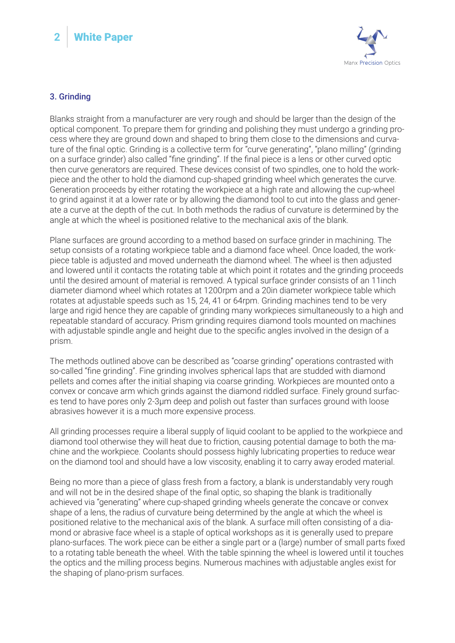# **2** White Paper



## 3. Grinding

Blanks straight from a manufacturer are very rough and should be larger than the design of the optical component. To prepare them for grinding and polishing they must undergo a grinding process where they are ground down and shaped to bring them close to the dimensions and curvature of the final optic. Grinding is a collective term for "curve generating", "plano milling" (grinding on a surface grinder) also called "fine grinding". If the final piece is a lens or other curved optic then curve generators are required. These devices consist of two spindles, one to hold the workpiece and the other to hold the diamond cup-shaped grinding wheel which generates the curve. Generation proceeds by either rotating the workpiece at a high rate and allowing the cup-wheel to grind against it at a lower rate or by allowing the diamond tool to cut into the glass and generate a curve at the depth of the cut. In both methods the radius of curvature is determined by the angle at which the wheel is positioned relative to the mechanical axis of the blank.

Plane surfaces are ground according to a method based on surface grinder in machining. The setup consists of a rotating workpiece table and a diamond face wheel. Once loaded, the workpiece table is adjusted and moved underneath the diamond wheel. The wheel is then adjusted and lowered until it contacts the rotating table at which point it rotates and the grinding proceeds until the desired amount of material is removed. A typical surface grinder consists of an 11inch diameter diamond wheel which rotates at 1200rpm and a 20in diameter workpiece table which rotates at adjustable speeds such as 15, 24, 41 or 64rpm. Grinding machines tend to be very large and rigid hence they are capable of grinding many workpieces simultaneously to a high and repeatable standard of accuracy. Prism grinding requires diamond tools mounted on machines with adjustable spindle angle and height due to the specific angles involved in the design of a prism.

The methods outlined above can be described as "coarse grinding" operations contrasted with so-called "fine grinding". Fine grinding involves spherical laps that are studded with diamond pellets and comes after the initial shaping via coarse grinding. Workpieces are mounted onto a convex or concave arm which grinds against the diamond riddled surface. Finely ground surfaces tend to have pores only 2-3μm deep and polish out faster than surfaces ground with loose abrasives however it is a much more expensive process.

All grinding processes require a liberal supply of liquid coolant to be applied to the workpiece and diamond tool otherwise they will heat due to friction, causing potential damage to both the machine and the workpiece. Coolants should possess highly lubricating properties to reduce wear on the diamond tool and should have a low viscosity, enabling it to carry away eroded material.

Being no more than a piece of glass fresh from a factory, a blank is understandably very rough and will not be in the desired shape of the final optic, so shaping the blank is traditionally achieved via "generating" where cup-shaped grinding wheels generate the concave or convex shape of a lens, the radius of curvature being determined by the angle at which the wheel is positioned relative to the mechanical axis of the blank. A surface mill often consisting of a diamond or abrasive face wheel is a staple of optical workshops as it is generally used to prepare plano-surfaces. The work piece can be either a single part or a (large) number of small parts fixed to a rotating table beneath the wheel. With the table spinning the wheel is lowered until it touches the optics and the milling process begins. Numerous machines with adjustable angles exist for the shaping of plano-prism surfaces.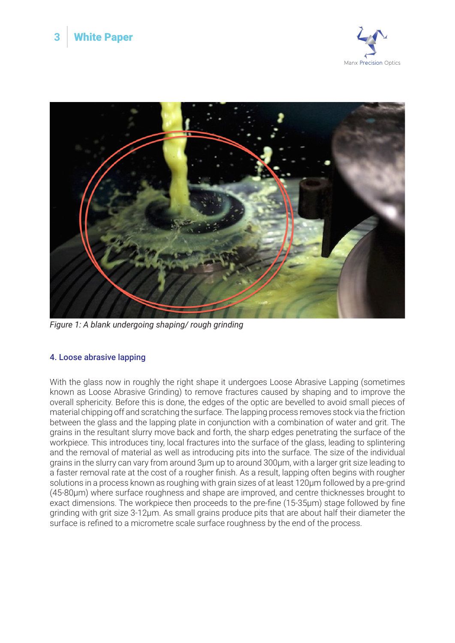



*Figure 1: A blank undergoing shaping/ rough grinding* 

# 4. Loose abrasive lapping

With the glass now in roughly the right shape it undergoes Loose Abrasive Lapping (sometimes known as Loose Abrasive Grinding) to remove fractures caused by shaping and to improve the overall sphericity. Before this is done, the edges of the optic are bevelled to avoid small pieces of material chipping off and scratching the surface. The lapping process removes stock via the friction between the glass and the lapping plate in conjunction with a combination of water and grit. The grains in the resultant slurry move back and forth, the sharp edges penetrating the surface of the workpiece. This introduces tiny, local fractures into the surface of the glass, leading to splintering and the removal of material as well as introducing pits into the surface. The size of the individual grains in the slurry can vary from around 3μm up to around 300μm, with a larger grit size leading to a faster removal rate at the cost of a rougher finish. As a result, lapping often begins with rougher solutions in a process known as roughing with grain sizes of at least 120μm followed by a pre-grind (45-80μm) where surface roughness and shape are improved, and centre thicknesses brought to exact dimensions. The workpiece then proceeds to the pre-fine (15-35μm) stage followed by fine grinding with grit size 3-12μm. As small grains produce pits that are about half their diameter the surface is refined to a micrometre scale surface roughness by the end of the process.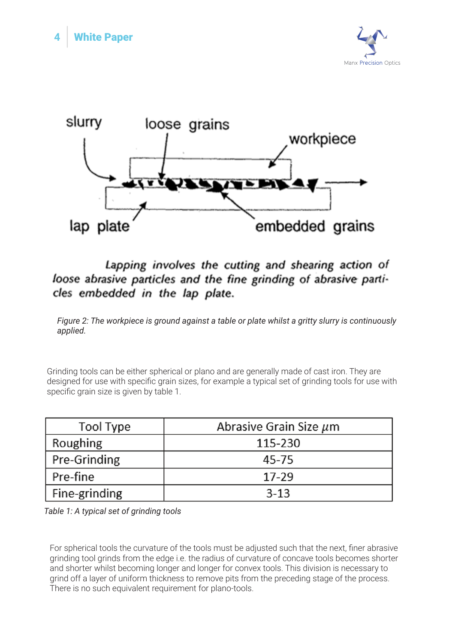



# Lapping involves the cutting and shearing action of loose abrasive particles and the fine grinding of abrasive particles embedded in the lap plate.

*Figure 2: The workpiece is ground against a table or plate whilst a gritty slurry is continuously applied.* 

Grinding tools can be either spherical or plano and are generally made of cast iron. They are designed for use with specific grain sizes, for example a typical set of grinding tools for use with specific grain size is given by table 1.

| Tool Type     | Abrasive Grain Size $\mu$ m |
|---------------|-----------------------------|
| Roughing      | 115-230                     |
| Pre-Grinding  | 45-75                       |
| Pre-fine      | $17-29$                     |
| Fine-grinding | $3-13$                      |

*Table 1: A typical set of grinding tools*

For spherical tools the curvature of the tools must be adjusted such that the next, finer abrasive grinding tool grinds from the edge i.e. the radius of curvature of concave tools becomes shorter and shorter whilst becoming longer and longer for convex tools. This division is necessary to grind off a layer of uniform thickness to remove pits from the preceding stage of the process. There is no such equivalent requirement for plano-tools.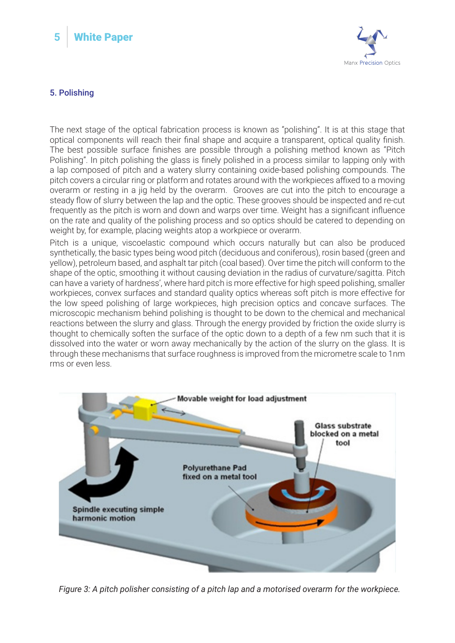



## 5. Polishing

The next stage of the optical fabrication process is known as "polishing". It is at this stage that optical components will reach their final shape and acquire a transparent, optical quality finish. The best possible surface finishes are possible through a polishing method known as "Pitch Polishing". In pitch polishing the glass is finely polished in a process similar to lapping only with a lap composed of pitch and a watery slurry containing oxide-based polishing compounds. The pitch covers a circular ring or platform and rotates around with the workpieces affixed to a moving overarm or resting in a jig held by the overarm. Grooves are cut into the pitch to encourage a steady flow of slurry between the lap and the optic. These grooves should be inspected and re-cut frequently as the pitch is worn and down and warps over time. Weight has a significant influence on the rate and quality of the polishing process and so optics should be catered to depending on weight by, for example, placing weights atop a workpiece or overarm.

Pitch is a unique, viscoelastic compound which occurs naturally but can also be produced synthetically, the basic types being wood pitch (deciduous and coniferous), rosin based (green and yellow), petroleum based, and asphalt tar pitch (coal based). Over time the pitch will conform to the shape of the optic, smoothing it without causing deviation in the radius of curvature/sagitta. Pitch can have a variety of hardness', where hard pitch is more effective for high speed polishing, smaller workpieces, convex surfaces and standard quality optics whereas soft pitch is more effective for the low speed polishing of large workpieces, high precision optics and concave surfaces. The microscopic mechanism behind polishing is thought to be down to the chemical and mechanical reactions between the slurry and glass. Through the energy provided by friction the oxide slurry is thought to chemically soften the surface of the optic down to a depth of a few nm such that it is dissolved into the water or worn away mechanically by the action of the slurry on the glass. It is through these mechanisms that surface roughness is improved from the micrometre scale to 1nm rms or even less.



*Figure 3: A pitch polisher consisting of a pitch lap and a motorised overarm for the workpiece.*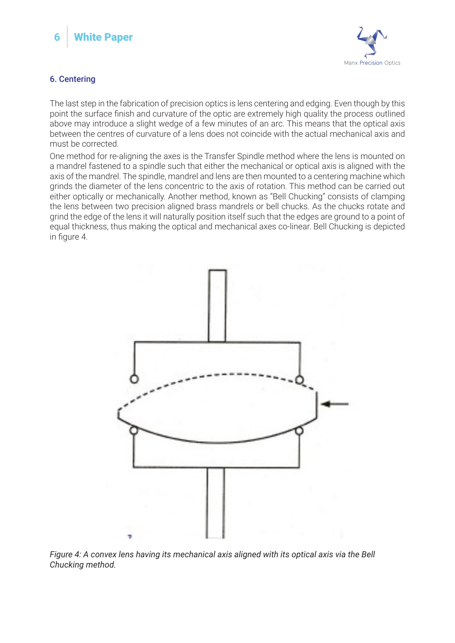



# 6. Centering

The last step in the fabrication of precision optics is lens centering and edging. Even though by this point the surface finish and curvature of the optic are extremely high quality the process outlined above may introduce a slight wedge of a few minutes of an arc. This means that the optical axis between the centres of curvature of a lens does not coincide with the actual mechanical axis and must be corrected.

One method for re-aligning the axes is the Transfer Spindle method where the lens is mounted on a mandrel fastened to a spindle such that either the mechanical or optical axis is aligned with the axis of the mandrel. The spindle, mandrel and lens are then mounted to a centering machine which grinds the diameter of the lens concentric to the axis of rotation. This method can be carried out either optically or mechanically. Another method, known as "Bell Chucking" consists of clamping the lens between two precision aligned brass mandrels or bell chucks. As the chucks rotate and grind the edge of the lens it will naturally position itself such that the edges are ground to a point of equal thickness, thus making the optical and mechanical axes co-linear. Bell Chucking is depicted in figure 4.



*Figure 4: A convex lens having its mechanical axis aligned with its optical axis via the Bell Chucking method.*